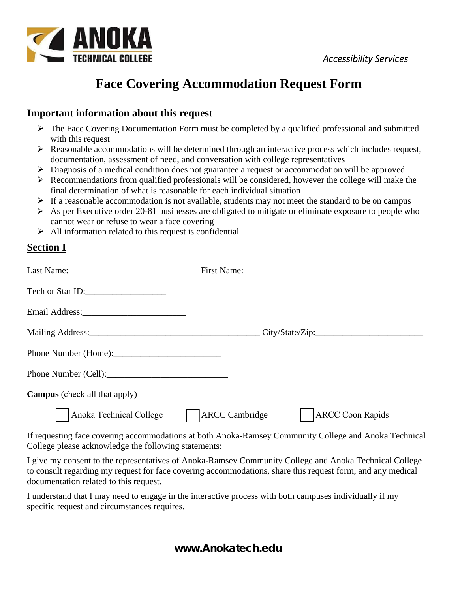



## **Face Covering Accommodation Request Form**

## **Important information about this request**

- $\triangleright$  The Face Covering Documentation Form must be completed by a qualified professional and submitted with this request
- Reasonable accommodations will be determined through an interactive process which includes request, documentation, assessment of need, and conversation with college representatives
- $\triangleright$  Diagnosis of a medical condition does not guarantee a request or accommodation will be approved
- $\triangleright$  Recommendations from qualified professionals will be considered, however the college will make the final determination of what is reasonable for each individual situation
- $\triangleright$  If a reasonable accommodation is not available, students may not meet the standard to be on campus
- $\triangleright$  As per Executive order 20-81 businesses are obligated to mitigate or eliminate exposure to people who cannot wear or refuse to wear a face covering
- $\triangleright$  All information related to this request is confidential

## **Section I**

|                                      | First Name:                                      |
|--------------------------------------|--------------------------------------------------|
| Tech or Star ID:                     |                                                  |
|                                      |                                                  |
|                                      |                                                  |
|                                      |                                                  |
|                                      |                                                  |
| <b>Campus</b> (check all that apply) |                                                  |
| Anoka Technical College              | <b>ARCC</b> Cambridge<br><b>ARCC Coon Rapids</b> |

If requesting face covering accommodations at both Anoka-Ramsey Community College and Anoka Technical College please acknowledge the following statements:

I give my consent to the representatives of Anoka-Ramsey Community College and Anoka Technical College to consult regarding my request for face covering accommodations, share this request form, and any medical documentation related to this request.

I understand that I may need to engage in the interactive process with both campuses individually if my specific request and circumstances requires.

**www.Anokatech.edu**